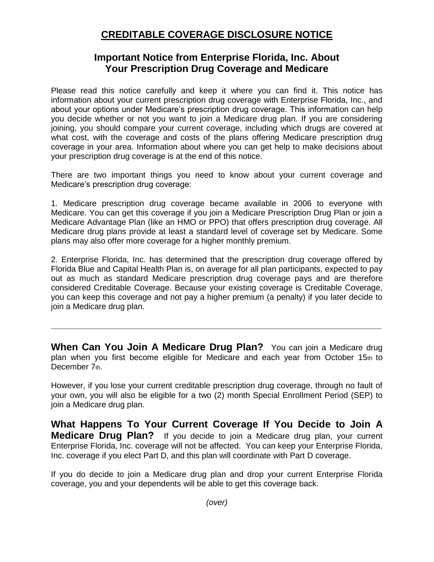## **CREDITABLE COVERAGE DISCLOSURE NOTICE**

## **Important Notice from Enterprise Florida, Inc. About Your Prescription Drug Coverage and Medicare**

Please read this notice carefully and keep it where you can find it. This notice has information about your current prescription drug coverage with Enterprise Florida, Inc., and about your options under Medicare's prescription drug coverage. This information can help you decide whether or not you want to join a Medicare drug plan. If you are considering joining, you should compare your current coverage, including which drugs are covered at what cost, with the coverage and costs of the plans offering Medicare prescription drug coverage in your area. Information about where you can get help to make decisions about your prescription drug coverage is at the end of this notice.

There are two important things you need to know about your current coverage and Medicare's prescription drug coverage:

1. Medicare prescription drug coverage became available in 2006 to everyone with Medicare. You can get this coverage if you join a Medicare Prescription Drug Plan or join a Medicare Advantage Plan (like an HMO or PPO) that offers prescription drug coverage. All Medicare drug plans provide at least a standard level of coverage set by Medicare. Some plans may also offer more coverage for a higher monthly premium.

2. Enterprise Florida, Inc. has determined that the prescription drug coverage offered by Florida Blue and Capital Health Plan is, on average for all plan participants, expected to pay out as much as standard Medicare prescription drug coverage pays and are therefore considered Creditable Coverage. Because your existing coverage is Creditable Coverage, you can keep this coverage and not pay a higher premium (a penalty) if you later decide to join a Medicare drug plan.

**When Can You Join A Medicare Drug Plan?** You can join a Medicare drug plan when you first become eligible for Medicare and each year from October 15th to December 7th.

**\_\_\_\_\_\_\_\_\_\_\_\_\_\_\_\_\_\_\_\_\_\_\_\_\_\_\_\_\_\_\_\_\_\_\_\_\_\_\_\_\_\_\_\_\_\_\_\_\_\_\_\_\_\_\_\_\_\_\_\_\_\_\_\_\_\_\_\_\_\_\_\_\_**

However, if you lose your current creditable prescription drug coverage, through no fault of your own, you will also be eligible for a two (2) month Special Enrollment Period (SEP) to join a Medicare drug plan.

**What Happens To Your Current Coverage If You Decide to Join A Medicare Drug Plan?** If you decide to join a Medicare drug plan, your current Enterprise Florida, Inc. coverage will not be affected. You can keep your Enterprise Florida, Inc. coverage if you elect Part D, and this plan will coordinate with Part D coverage.

If you do decide to join a Medicare drug plan and drop your current Enterprise Florida coverage, you and your dependents will be able to get this coverage back.